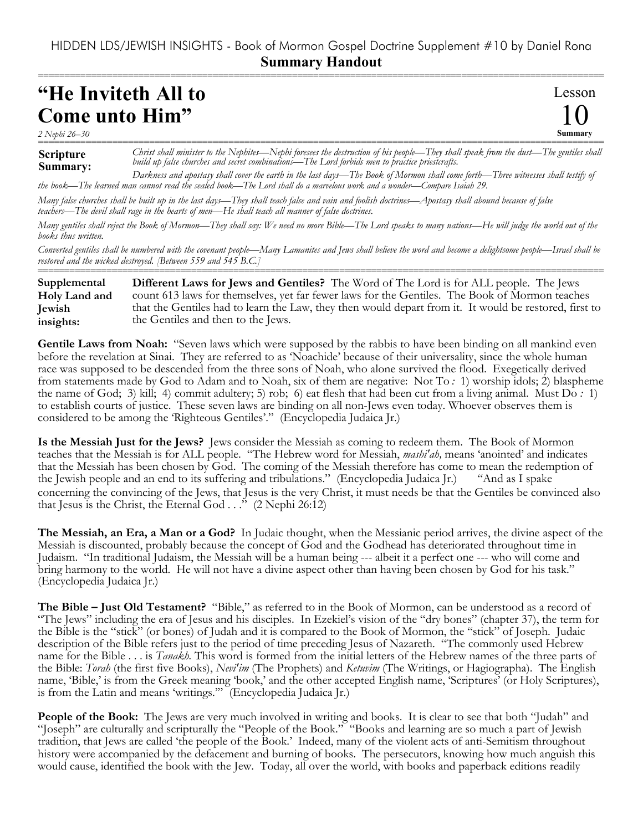## HIDDEN LDS/JEWISH INSIGHTS - Book of Mormon Gospel Doctrine Supplement #10 by Daniel Rona **Summary Handout**

===========================================================================================================

## **"He Inviteth All to Come unto Him"**

**Scripture** *2 Nephi 26–30*

**Summary** =========================================================================================================== *Christ shall minister to the Nephites—Nephi foresees the destruction of his people—They shall speak from the dust—The gentiles shall build up false churches and secret combinations—The Lord forbids men to practice priestcrafts.*

Lesson

10

**Summary:** *Darkness and apostasy shall cover the earth in the last days—The Book of Mormon shall come forth—Three witnesses shall testify of the book—The learned man cannot read the sealed book—The Lord shall do a marvelous work and a wonder—Compare Isaiah 29.*

*Many false churches shall be built up in the last days—They shall teach false and vain and foolish doctrines—Apostasy shall abound because of false teachers—The devil shall rage in the hearts of men—He shall teach all manner of false doctrines.*

*Many gentiles shall reject the Book of Mormon—They shall say: We need no more Bible—The Lord speaks to many nations—He will judge the world out of the books thus written.*

*Converted gentiles shall be numbered with the covenant people—Many Lamanites and Jews shall believe the word and become a delightsome people—Israel shall be restored and the wicked destroyed. [Between 559 and 545 B.C.]* ===========================================================================================================

**Different Laws for Jews and Gentiles?** The Word of The Lord is for ALL people. The Jews count 613 laws for themselves, yet far fewer laws for the Gentiles. The Book of Mormon teaches that the Gentiles had to learn the Law, they then would depart from it. It would be restored, first to the Gentiles and then to the Jews. **Supplemental Holy Land and Jewish insights:**

**Gentile Laws from Noah:** "Seven laws which were supposed by the rabbis to have been binding on all mankind even before the revelation at Sinai. They are referred to as 'Noachide' because of their universality, since the whole human race was supposed to be descended from the three sons of Noah, who alone survived the flood. Exegetically derived from statements made by God to Adam and to Noah, six of them are negative: Not To *:* 1) worship idols; 2) blaspheme the name of God; 3) kill; 4) commit adultery; 5) rob; 6) eat flesh that had been cut from a living animal. Must Do *:* 1) to establish courts of justice. These seven laws are binding on all non-Jews even today. Whoever observes them is considered to be among the 'Righteous Gentiles'." (Encyclopedia Judaica Jr.)

**Is the Messiah Just for the Jews?** Jews consider the Messiah as coming to redeem them. The Book of Mormon teaches that the Messiah is for ALL people. "The Hebrew word for Messiah, *mashi'ah,* means 'anointed' and indicates that the Messiah has been chosen by God. The coming of the Messiah therefore has come to mean the redemption of the Jewish people and an end to its suffering and tribulations." (Encyclopedia Judaica Jr.) "And as I spake concerning the convincing of the Jews, that Jesus is the very Christ, it must needs be that the Gentiles be convinced also that Jesus is the Christ, the Eternal God  $\ldots$ ." (2 Nephi 26:12)

**The Messiah, an Era, a Man or a God?** In Judaic thought, when the Messianic period arrives, the divine aspect of the Messiah is discounted, probably because the concept of God and the Godhead has deteriorated throughout time in Judaism. "In traditional Judaism, the Messiah will be a human being --- albeit it a perfect one --- who will come and bring harmony to the world. He will not have a divine aspect other than having been chosen by God for his task." (Encyclopedia Judaica Jr.)

**The Bible – Just Old Testament?** "Bible," as referred to in the Book of Mormon, can be understood as a record of "The Jews" including the era of Jesus and his disciples. In Ezekiel's vision of the "dry bones" (chapter 37), the term for the Bible is the "stick" (or bones) of Judah and it is compared to the Book of Mormon, the "stick" of Joseph. Judaic description of the Bible refers just to the period of time preceding Jesus of Nazareth. "The commonly used Hebrew name for the Bible . . . is *Tanakh.* This word is formed from the initial letters of the Hebrew names of the three parts of the Bible: *Torah* (the first five Books), *Nevi'im* (The Prophets) and *Ketuvim* (The Writings, or Hagiographa). The English name, 'Bible,' is from the Greek meaning 'book,' and the other accepted English name, 'Scriptures' (or Holy Scriptures), is from the Latin and means 'writings.'" (Encyclopedia Judaica Jr.)

People of the Book: The Jews are very much involved in writing and books. It is clear to see that both "Judah" and "Joseph" are culturally and scripturally the "People of the Book." "Books and learning are so much a part of Jewish tradition, that Jews are called 'the people of the Book.' Indeed, many of the violent acts of anti-Semitism throughout history were accompanied by the defacement and burning of books. The persecutors, knowing how much anguish this would cause, identified the book with the Jew. Today, all over the world, with books and paperback editions readily